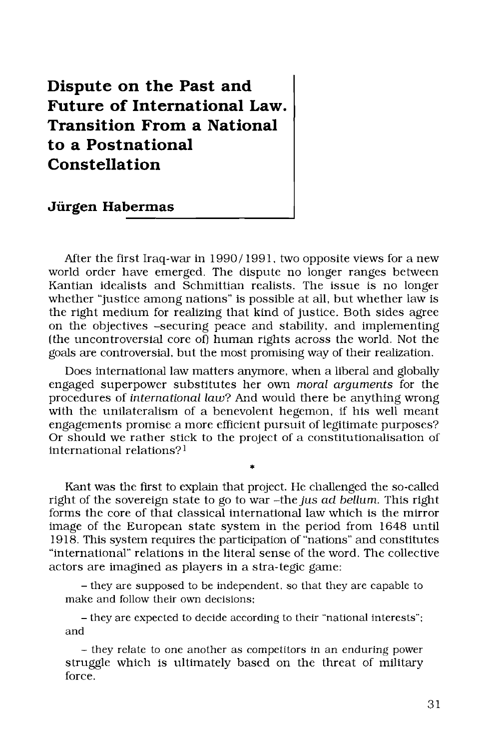## **Dispute on the Past and Future of International Law. Transition From a National to a Postnational Constellation**

**Jürgen Habermas** 

After the first Iraq-war in  $1990/1991$ , two opposite views for a new world order have emerged. The dispute no longer ranges between Kantian idealists and Schmittian realists. The issue is no longer whether "justice among nations" is possible at all, but whether law is the right medium for realizing that kind of justice. Both sides agree on the objectives -securing peace and stability, and implementing (the uncontroversial core of) human rights across the world. Not the goals are controversial, but the most promising way of their realization.

Does international law matters anymore, when a liberal and globally engaged superpower substitutes her own *moral arguments* for the procedures of *international law*? And would there be anything wrong with the unilateralism of a benevolent hegemon, if his well meant engagements promise a more efficient pursuit of legitimate purposes? Or should we rather stick to the project of a constitutionalisation of international relations? <sup>1</sup>

Kant was the first to explain that project. He challenged the so-called right of the sovereign state to go to war -the *jus ad bellum.* This right forms the core of that classical international law which is the mirror image of the European state system in the period from 1648 until 1918. This system requires the participation of "nations" and constitutes "international" relations in the literal sense of the word. The collective actors are imagined as players in a stra-tegic game:

- they are supposed to be independent, so that they are capable to make and follow their own decisions;

- they are expected to decide according to their "national interests"; and

- they relate to one another as competitors in an enduring power struggle which is ultimately based on the threat of military force.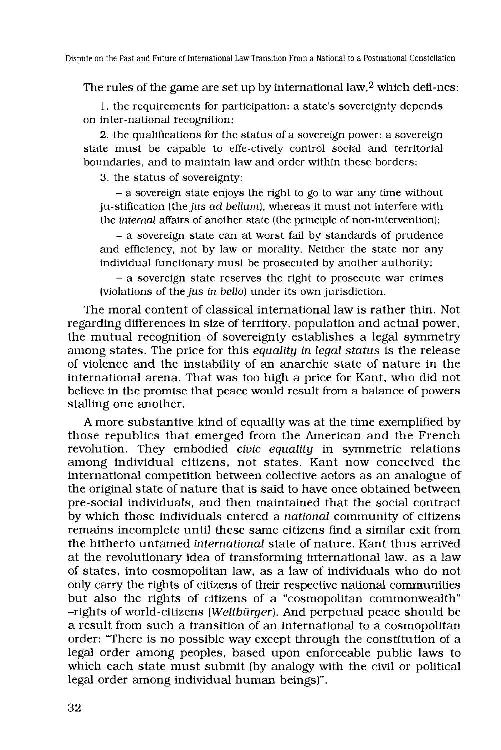The rules of the game are set up by international law, $2$  which defi-nes:

1. the requirements for participation: a state's sovereignty depends on inter-national recognition;

2. the qualifications for the status of a sovereign power: a sovereign state must be capable to effe-ctively control social and territorial boundaries, and to maintain law and order within these borders;

3. the status of sovereignty:

- a sovereign state enjoys the right to go to war any time without ju-stification (the jus *ad bellum),* whereas it must not interfere with the *internal* affairs of another state (the principle of non-intervention);

- a sovereign state can at worst fail by standards of prudence and efficiency, not by law or morality. Neither the state nor any individual functionary must be prosecuted by another authority;

- a sovereign state reserves the right to prosecute war crimes (violations of the *jus in hello)* under its own jurisdiction.

The moral content of classical international law is rather thin. Not regarding differences in size of territory, population and actual power, the mutual recognition of sovereignty establishes a legal symmetry among states. The price for this *equality in legal status* is the release of violence and the instability of an anarchic state of nature in the international arena. That was too high a price for Kant, who did not believe in the promise that peace would result from a balance of powers stalling one another.

A more substantive kind of equality was at the time exemplified by those republics that emerged from the American and the French revolution. They embodied *civic equality* in symmetric relations among individual citizens, not states. Kant now conceived the international competition between collective actors as an analogue of the original state of nature that is said to have once obtained between pre-social individuals, and then maintained that the social contract by which those individuals entered a *national* community of citizens remains incomplete until these same citizens find a similar exit from the hitherto untamed *international* state of nature. Kant thus arrived at the revolutionary idea of transforming international law, as a law of states, into cosmopolitan law, as a law of individuals who do not only carry the rights of citizens of their respective national communities but also the rights of citizens of a "cosmopolitan commonwealth" -rights of world-citizens *(Weltbürger)*. And perpetual peace should be a result from such a transition of an international to a cosmopolitan order: "There is no possible way except through the constitution of a legal order among peoples, based upon enforceable public laws to which each state must submit (by analogy with the civil or political legal order among individual human beings)".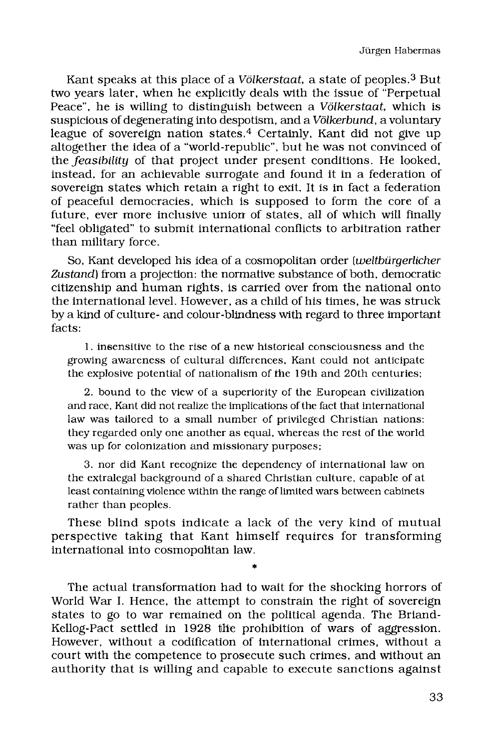Kant speaks at this place of a Völkerstaat, a state of peoples.<sup>3</sup> But two years later, when he explicitly deals with the issue of "Perpetual Peace", he is willing to distinguish between a *Völkerstaat*, which is suspicious of degenerating into despotism, and a *Völkerbund,* a voluntary league of sovereign nation states.<sup>4</sup> Certainly, Kant did not give up altogether the idea of a "world-republic", but he was not convinced of the *feasibility* of that project under present conditions. He looked, instead, for an achievable surrogate and found it in a federation of sovereign states which retain a right to exit. It is in fact a federation of peaceful democracies, which is supposed to form the core of a future, ever more inclusive union of states, all of which will finally "feel obligated" to submit international conflicts to arbitration rather than military force.

So, Kant developed his idea of a cosmopolitan order *(weltbürgerlicher Zustand)* from a projection: the normative substance of both, democratic citizenship and human rights, is carried over from the national onto the international level. However, as a child of his times, he was struck by a kind of culture- and colour-blindness with regard to three important facts:

1. insensitive to the rise of a new historical consciousness and the growing awareness of cultural differences, Kant could not anticipate the explosive potential of nationalism of the 19th and 20th centuries;

2. bound to the view of a superiority of the European civilization and race, Kant did not realize the implications of the fact that international law was tailored to a small number of privileged Christian nations: they regarded only one another as equal, whereas the rest of the world was up for colonization and missionary purposes;

3. nor did Kant recognize the dependency of international law on the extralegal background of a shared Christian culture, capable of at least containing violence within the range of limited wars between cabinets rather than peoples.

These blind spots indicate a lack of the very kind of mutual perspective taking that Kant himself requires for transforming international into cosmopolitan law.

•

The actual transformation had to wait for the shocking horrors of World War I. Hence, the attempt to constrain the right of sovereign states to go to war remained on the political agenda. The Briand-Kellog-Pact settled in 1928 the prohibition of wars of aggression. However, without a codification of international crimes, without a court with the competence to prosecute such crimes, and without an authority that is willing and capable to execute sanctions against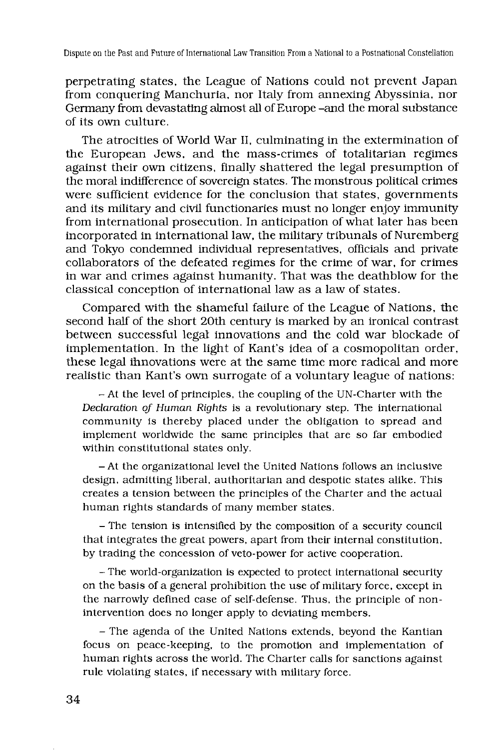perpetrating states, the League of Nations could not prevent Japan from conquering Manchuria, nor Italy from annexing Abyssinia, nor Germany from devastating almost all of Europe -and the moral substance of its own culture .

The atrocities of World War II, culminating in the extermination of the European Jews, and the mass-crimes of totalitarian regimes against their own citizens, finally shattered the legal presumption of the moral indifference of sovereign states. The monstrous political crimes were sufficient evidence for the conclusion that states, governments and its military and civil functionaries must no longer enjoy immunity from international prosecution. In anticipation of what later has been incorporated in international law, the military tribunals of Nuremberg and Tokyo condemned individual representatives, officials and private collaborators of the defeated regimes for the crime of war, for crimes in war and crimes against humanity. That was the deathblow for the classical conception of international law as a law of states.

Compared with the shameful failure of the League of Nations, the second half of the short 20th century is marked by an ironical contrast between successful legal innovations and the cold war blockade of implementation. In the light of Kant's idea of a cosmopolitan order, these legal innovations were at the same time more radical and more realistic than Kant's own surrogate of a voluntary league of nations:

- At the level of principles, the coupling of the UN-Charter with the *Declaration of Human Rights* is a revolutionary step. The international community is thereby placed under the obligation to spread and implement worldwide the same principles that are so far embodied within constitutional states only.

- At the organizational level the United Nations follows an inclusive design, admitting liberal, authoritarian and despotic states alike. This creates a tension between the principles of the Charter and the actual human rights standards of many member states.

- The tension is intensified by the composition of a security council that integrates the great powers, apart from their internal constitution, by trading the concession of veto-power for active cooperation.

- The world-organization is expected to protect international security on the basis of a general prohibition the use of military force, except in the narrowly defined case of self-defense. Thus, the principle of nonintervention does no longer apply to deviating members.

- The agenda of the United Nations extends, beyond the Kantian focus on peace-keeping, to the promotion and implementation of human rights across the world. The Charter calls for sanctions against rule violating states, if necessary with military force.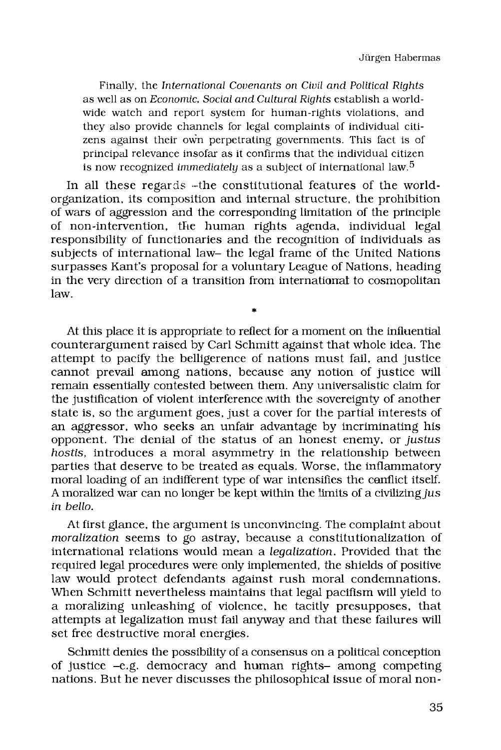Finally, the *International Covenants on Civil and Political Rights*  as well as on *Economic, Social and Cultural Rights* establish a worldwide watch and report system for human-rights violations, and they also provide channels for legal complaints of individual citizens against their own perpetrating governments. This fact is of principal relevance insofar as it confirms that the individual citizen is now recognized *immediately* as a subject of international law. <sup>5</sup>

In all these regards -the constitutional features of the worldorganization, its composition and internal structure, the prohibition of wars of aggression and the corresponding limitation of the principle of non-intervention, the human rights agenda, individual legal responsibility of functionaries and the recognition of individuals as subjects of international law- the legal frame of the United Nations surpasses Kant's proposal for a voluntary League of Nations, heading in the very direction of a transition from international to cosmopolitan law.

**\*** 

At this place it is appropriate to reflect for a moment on the influential counterargument raised by Carl Schmitt against that whole idea. The attempt to pacify the belligerence of nations must fail, and justice cannot prevail among nations, because any notion of justice will remain essentially contested between them. Any universalistic claim for the justification of violent interference with the sovereignty of another state is, so the argument goes, just a cover for the partial interests of an aggressor, who seeks an unfair advantage by incriminating his opponent. The denial of the status of an honest enemy, or *justus hostis,* introduces a moral asymmetry in the relationship between parties that deserve to be treated as equals. Worse, the inflammatory moral loading of an indifferent type of war intensifies the conflict itself. A moralized war can no longer be kept within the limits of a civilizing jus *in hello.* 

At first glance, the argument is unconvincing. The complaint about *moralization* seems to go astray, because a constitutionalization of international relations would mean a *legalization*. Provided that the required legal procedures were only implemented, the shields of positive law would protect defendants against rush moral condemnations. When Schmitt nevertheless maintains that legal pacifism will yield to a moralizing unleashing of violence, he tacitly presupposes, that attempts at legalization must fail anyway and that these failures will set free destructive moral energies.

Schmitt denies the possibility of a consensus on a political conception of justice -e.g. democracy and human rights- among competing nations. But he never discusses the philosophical issue of moral non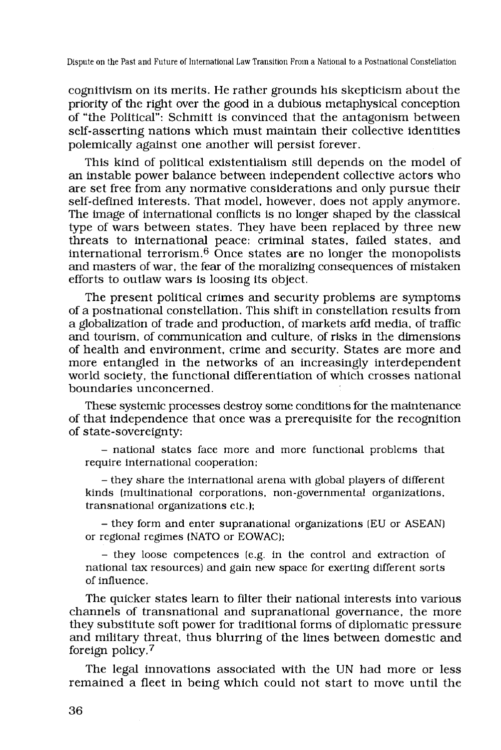Dispute on the Past and Future of International Law Transition From a National to a Postnational Constellation

cognitivism on its merits. He rather grounds his skepticism about the priority of the right over the good in a dubious metaphysical conception of "the Political": Schmitt is convinced that the antagonism between self-asserting nations which must maintain their collective identities polemically against one another will persist forever.

This kind of political existentialism still depends on the model of an instable power balance between independent collective actors who are set free from any normative considerations and only pursue their self-defined interests. That model, however, does not apply anymore. The image of international conflicts is no longer shaped by the classical type of wars between states. They have been replaced by three new threats to international peace: criminal states, failed states, and international terrorism. $6$  Once states are no longer the monopolists and masters of war, the fear of the moralizing consequences of mistaken efforts to outlaw wars is loosing its object.

The present political crimes and security problems are symptoms of a postnational constellation. This shift in constellation results from a globalization of trade and production, of markets and media, of traffic and tourism, of communication and culture, of risks in the dimensions of health and environment, crime and security. States are more and more entangled in the networks of an increasingly interdependent world society, the functional differentiation of which crosses national boundaries unconcerned.

These systemic processes destroy some conditions for the maintenance of that independence that once was a prerequisite for the recognition of state-sovereignty:

- national states face more and more functional problems that require international cooperation;

- they share the international arena with global players of different kinds (multinational corporations, non-governmental organizations, transnational organizations etc.);

- they form and enter supranational organizations (EU or ASEAN) or regional regimes (NATO or EOWAC);

- they loose competences (e.g. in the control and extraction of national tax resources) and gain new space for exerting different sorts of influence.

The quicker states learn to filter their national interests into various channels of transnational and supranational governance, the more they substitute soft power for traditional forms of diplomatic pressure and military threat, thus blurring of the lines between domestic and foreign policy. <sup>7</sup>

The legal innovations associated with the UN had more or less remained a fleet in being which could not start to move until the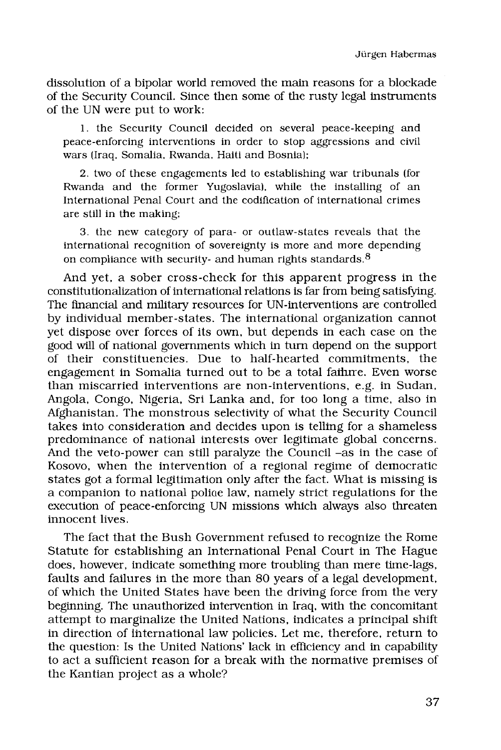dissolution of a bipolar world removed the main reasons for a blockade of the Security Council. Since then some of the rusty legal instruments of the UN were put to work:

1. the Security Council decided on several peace-keeping and peace-enforcing interventions in order to stop aggressions and civil wars (Iraq, Somalia, Rwanda, Haiti and Bosnia);

2. two of these engagements led to establishing war tribunals (for Rwanda and the former Yugoslavia), while the installing of an International Penal Court and the codification of international crimes are still in the making;

3. the new category of para- or outlaw-states reveals that the international recognition of sovereignty is more and more depending on compliance with security- and human rights standards. <sup>8</sup>

And yet, a sober cross-check for this apparent progress in the constitutionalization of international relations is far from being satisfying. The financial and military resources for UN-interventions are controlled by individual member-states. The international organization cannot yet dispose over forces of its own, but depends in each case on the good will of national governments which in turn depend on the support of their constituencies. Due to half-hearted commitments, the engagement in Somalia turned out to be a total faihrre. Even worse than miscarried interventions are non-interventions, e.g. in Sudan, Angola, Congo, Nigeria, Sri Lanka and, for too long a time, also in Afghanistan. The monstrous selectivity of what the Security Council takes into consideration and decides upon is telling for a shameless predominance of national interests over legitimate global concerns. And the veto-power can still paralyze the Council –as in the case of Kosovo, when the intervention of a regional regime of democratic states got a formal legitimation only after the fact. What is missing is a companion to national police law, namely strict regulations for the execution of peace-enforcing UN missions which always also threaten innocent lives.

The fact that the Bush Government refused to recognize the Rome Statute for establishing an International Penal Court in The Hague does, however, indicate something more troubling than mere time-lags, faults and failures in the more than 80 years of a legal development, of which the United States have been the driving force from the very beginning. The unauthorized intervention in Iraq, with the concomitant attempt to marginalize the United Nations, indicates a principal shift in direction of international law policies. Let me, therefore, return to the question: Is the United Nations' lack in efficiency and in capability to act a sufficient reason for a break with the normative premises of the Kantian project as a whole?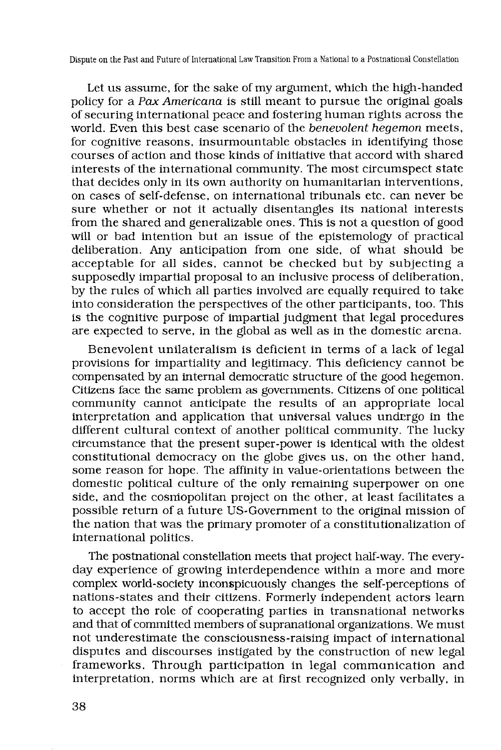Dispute on the Past and Future of International Law Transition From a National to a Postnational Constellation

Let us assume, for the sake of my argument, which the high-handed policy for a *Pax Americana* is still meant to pursue the original goals of securing international peace and fostering human rights across the world. Even this best case scenario of the *benevolent hegemon* meets, for cognitive reasons, insurmountable obstacles in identifying those courses of action and those kinds of initiative that accord with shared interests of the international community. The most circumspect state that decides only in its own authority on humanitarian interventions, on cases of self-defense, on international tribunals etc. can never be sure whether or not it actually disentangles its national interests from the shared and generalizable ones. This is not a question of good will or bad intention but an issue of the epistemology of practical deliberation. Any anticipation from one side, of what should be acceptable for all sides, cannot be checked but by subjecting a supposedly impartial proposal to an inclusive process of deliberation, by the rules of which all parties involved are equally required to take into consideration the perspectives of the other participants, too. This is the cognitive purpose of impartial judgment that legal procedures are expected to serve, in the global as well as in the domestic arena.

Benevolent unilateralism is deficient in terms of a lack of legal provisions for impartiality and legitimacy. This deficiency cannot be compensated by an internal democratic structure of the good hegemon. Citizens face the same problem as governments. Citizens of one political community cannot anticipate the results of an appropriate local interpretation and application that universal values undergo in the different cultural context of another political community. The lucky circumstance that the present super-power is identical with the oldest constitutional democracy on the globe gives us, on the other hand, some reason for hope. The affinity in value-orientations between the domestic political culture of the only remaining superpower on one side, and the cosmopolitan project on the other, at least facilitates a possible return of a future US-Government to the original mission of the nation that was the primary promoter of a constitutionalization of international politics.

The postnational constellation meets that project half-way. The everyday experience of growing interdependence within a more and more complex world-society inconspicuously changes the self-perceptions of nations-states and their citizens. Formerly independent actors learn to accept the role of cooperating parties in transnational networks and that of committed members of supranational organizations. We must not underestimate the consciousness-raising impact of international disputes and discourses instigated by the construction of new legal frameworks. Through participation in legal communication and interpretation, norms which are at first recognized only verbally, in